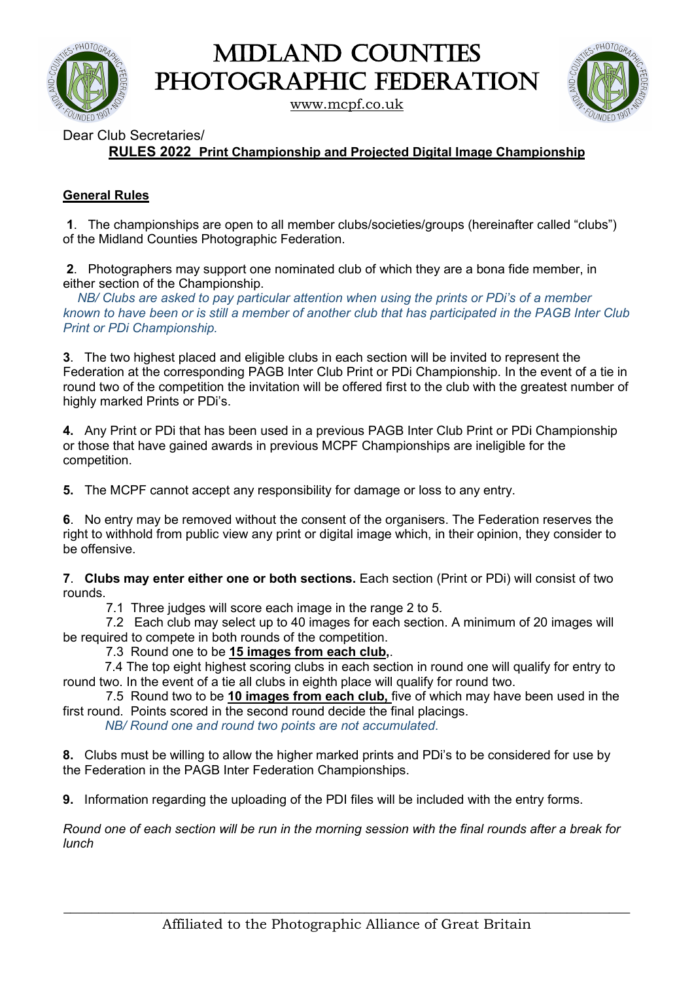

Midland Counties PHOTOGRAPHIC FEDERATION

[www.mcpf.co.uk](http://www.mcpf.co.uk/)



Dear Club Secretaries/

**RULES 2022 Print Championship and Projected Digital Image Championship**

## **General Rules**

**1**. The championships are open to all member clubs/societies/groups (hereinafter called "clubs") of the Midland Counties Photographic Federation.

**2**. Photographers may support one nominated club of which they are a bona fide member, in either section of the Championship.

 *NB/ Clubs are asked to pay particular attention when using the prints or PDi's of a member known to have been or is still a member of another club that has participated in the PAGB Inter Club Print or PDi Championship.*

**3**. The two highest placed and eligible clubs in each section will be invited to represent the Federation at the corresponding PAGB Inter Club Print or PDi Championship. In the event of a tie in round two of the competition the invitation will be offered first to the club with the greatest number of highly marked Prints or PDi's.

**4.** Any Print or PDi that has been used in a previous PAGB Inter Club Print or PDi Championship or those that have gained awards in previous MCPF Championships are ineligible for the competition.

**5.** The MCPF cannot accept any responsibility for damage or loss to any entry.

**6**. No entry may be removed without the consent of the organisers. The Federation reserves the right to withhold from public view any print or digital image which, in their opinion, they consider to be offensive.

**7**. **Clubs may enter either one or both sections.** Each section (Print or PDi) will consist of two rounds.

7.1 Three judges will score each image in the range 2 to 5.

 7.2 Each club may select up to 40 images for each section. A minimum of 20 images will be required to compete in both rounds of the competition.

7.3 Round one to be **15 images from each club,**.

7.4 The top eight highest scoring clubs in each section in round one will qualify for entry to round two. In the event of a tie all clubs in eighth place will qualify for round two.

 7.5 Round two to be **10 images from each club,** five of which may have been used in the first round. Points scored in the second round decide the final placings.

*NB/ Round one and round two points are not accumulated*.

**8.** Clubs must be willing to allow the higher marked prints and PDi's to be considered for use by the Federation in the PAGB Inter Federation Championships.

**9.** Information regarding the uploading of the PDI files will be included with the entry forms.

*Round one of each section will be run in the morning session with the final rounds after a break for lunch*